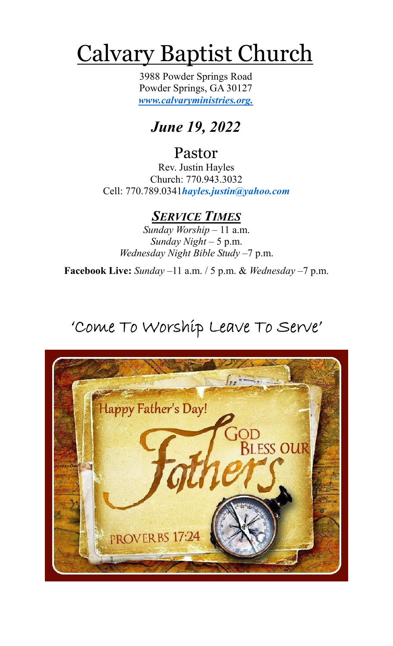# Calvary Baptist Church

3988 Powder Springs Road Powder Springs, GA 30127 *www.calvaryministries.org.*

*June 19, 2022*

# Pastor

Rev. Justin Hayles Church: 770.943.3032 Cell: 770.789.0341*hayles.justin@yahoo.com*

## *SERVICE TIMES*

*Sunday Worship* – 11 a.m. *Sunday Night* – 5 p.m. *Wednesday Night Bible Study* –7 p.m.

**Facebook Live:** *Sunday –*11 a.m. / 5 p.m. & *Wednesday* –7 p.m.

# 'Come To Worship Leave To Serve'